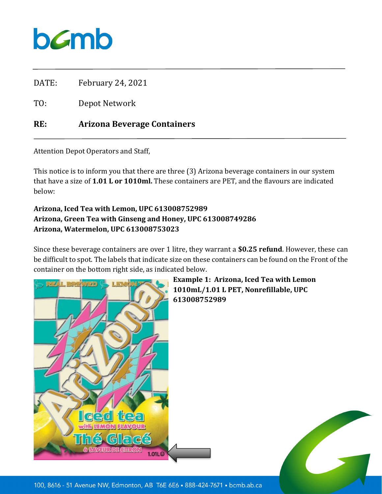

DATE: February 24, 2021

TO: Depot Network

## **RE: Arizona Beverage Containers**

Attention Depot Operators and Staff,

This notice is to inform you that there are three (3) Arizona beverage containers in our system that have a size of **1.01 L or 1010ml.** These containers are PET, and the flavours are indicated below:

## **Arizona, Iced Tea with Lemon, UPC 613008752989 Arizona, Green Tea with Ginseng and Honey, UPC 613008749286 Arizona, Watermelon, UPC 613008753023**

Since these beverage containers are over 1 litre, they warrant a **\$0.25 refund**. However, these can be difficult to spot. The labels that indicate size on these containers can be found on the Front of the container on the bottom right side, as indicated below.



**Example 1: Arizona, Iced Tea with Lemon 1010mL/1.01 L PET, Nonrefillable, UPC 613008752989**



100, 8616 - 51 Avenue NW, Edmonton, AB T6E 6E6 . 888-424-7671 . bcmb.ab.ca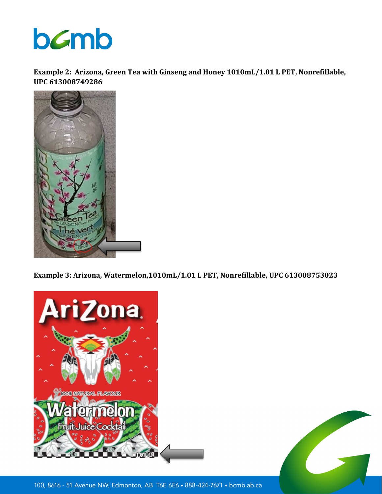

**Example 2: Arizona, Green Tea with Ginseng and Honey 1010mL/1.01 L PET, Nonrefillable, UPC 613008749286**



**Example 3: Arizona, Watermelon,1010mL/1.01 L PET, Nonrefillable, UPC 613008753023**





100, 8616 - 51 Avenue NW, Edmonton, AB T6E 6E6 . 888-424-7671 . bcmb.ab.ca